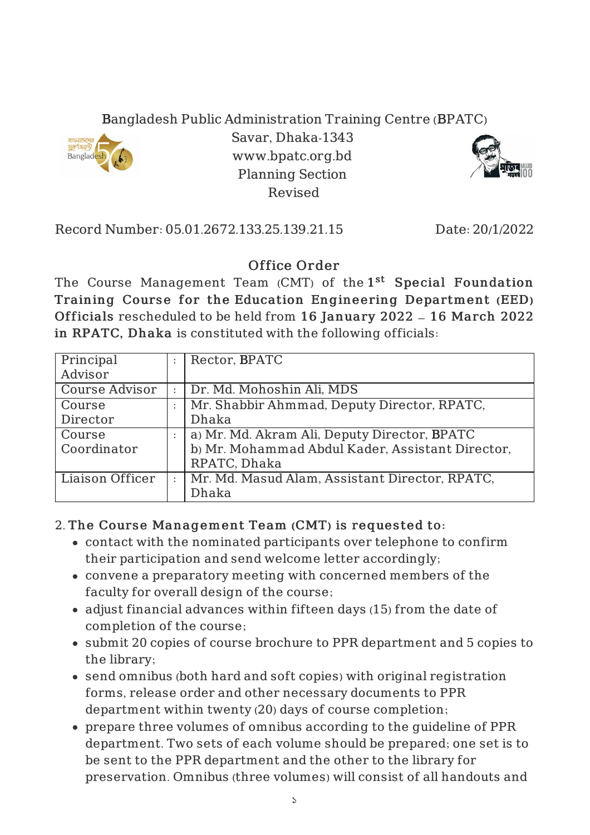## Bangladesh Public Administration Training Centre (BPATC)



Savar, Dhaka-1343 www.bpatc.org.bd Planning Section Revised



Record Number: 05.01.2672.133.25.139.21.15 Date: 20/1/2022

## Office Order

The Course Management Team (CMT) of the 1<sup>st</sup> Special Foundation Training Course for the Education Engineering Department (EED) Officials rescheduled to be held from 16 January 2022 – 16 March 2022 in RPATC, Dhaka is constituted with the following officials:

| Principal             | Rector, BPATC                                    |
|-----------------------|--------------------------------------------------|
| Advisor               |                                                  |
| <b>Course Advisor</b> | Dr. Md. Mohoshin Ali, MDS                        |
| Course                | Mr. Shabbir Ahmmad, Deputy Director, RPATC,      |
| Director              | Dhaka                                            |
| Course                | a) Mr. Md. Akram Ali, Deputy Director, BPATC     |
| Coordinator           | b) Mr. Mohammad Abdul Kader, Assistant Director, |
|                       | RPATC, Dhaka                                     |
| Liaison Officer       | Mr. Md. Masud Alam, Assistant Director, RPATC,   |
|                       | Dhaka                                            |

## 2. The Course Management Team (CMT) is requested to:

- contact with the nominated participants over telephone to confirm their participation and send welcome letter accordingly;
- convene a preparatory meeting with concerned members of the faculty for overall design of the course;
- adjust financial advances within fifteen days (15) from the date of completion of the course;
- submit 20 copies of course brochure to PPR department and 5 copies to the library;
- send omnibus (both hard and soft copies) with original registration forms, release order and other necessary documents to PPR department within twenty (20) days of course completion;
- prepare three volumes of omnibus according to the guideline of PPR department. Two sets of each volume should be prepared; one set is to be sent to the PPR department and the other to the library for preservation. Omnibus (three volumes) will consist of all handouts and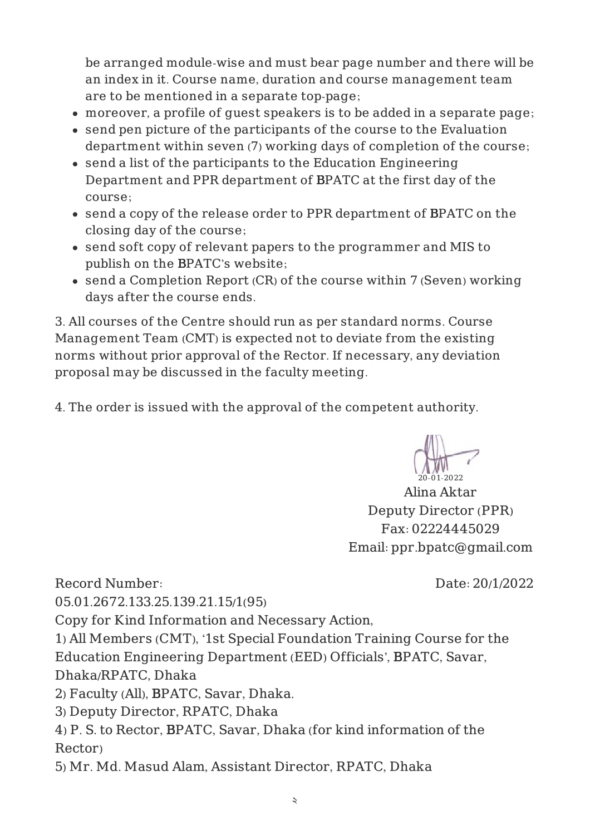be arranged module-wise and must bear page number and there will be an index in it. Course name, duration and course management team are to be mentioned in a separate top-page;

- moreover, a profile of guest speakers is to be added in a separate page;
- send pen picture of the participants of the course to the Evaluation department within seven (7) working days of completion of the course;
- send a list of the participants to the Education Engineering Department and PPR department of BPATC at the first day of the course;
- send a copy of the release order to PPR department of BPATC on the closing day of the course;
- send soft copy of relevant papers to the programmer and MIS to publish on the BPATC's website;
- send a Completion Report (CR) of the course within 7 (Seven) working days after the course ends.

3. All courses of the Centre should run as per standard norms. Course Management Team (CMT) is expected not to deviate from the existing norms without prior approval of the Rector. If necessary, any deviation proposal may be discussed in the faculty meeting.

4. The order is issued with the approval of the competent authority.

20-01-2022

Alina Aktar Deputy Director (PPR) Fax: 02224445029 Email: ppr.bpatc@gmail.com

Record Number:

Date: 20/1/2022

05.01.2672.133.25.139.21.15/1(95)

Copy for Kind Information and Necessary Action,

1) All Members (CMT), '1st Special Foundation Training Course for the Education Engineering Department (EED) Officials', BPATC, Savar, Dhaka/RPATC, Dhaka

2) Faculty (All), BPATC, Savar, Dhaka.

3) Deputy Director, RPATC, Dhaka

4) P. S. to Rector, BPATC, Savar, Dhaka (for kind information of the Rector)

5) Mr. Md. Masud Alam, Assistant Director, RPATC, Dhaka